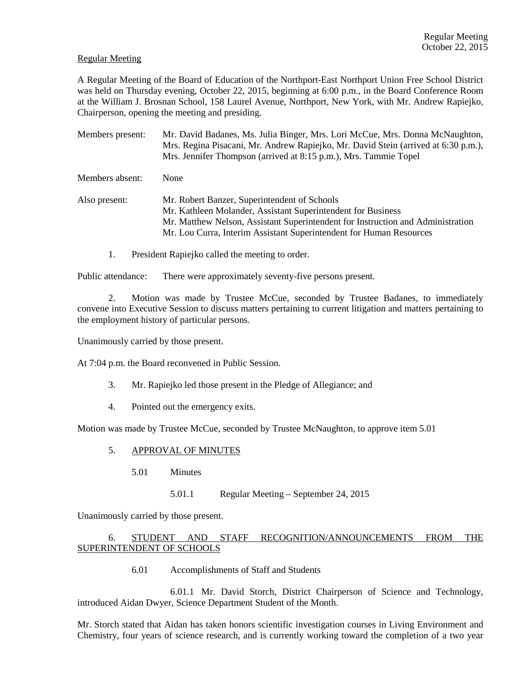## Regular Meeting

A Regular Meeting of the Board of Education of the Northport-East Northport Union Free School District was held on Thursday evening, October 22, 2015, beginning at 6:00 p.m., in the Board Conference Room at the William J. Brosnan School, 158 Laurel Avenue, Northport, New York, with Mr. Andrew Rapiejko, Chairperson, opening the meeting and presiding.

- Members present: Mr. David Badanes, Ms. Julia Binger, Mrs. Lori McCue, Mrs. Donna McNaughton, Mrs. Regina Pisacani, Mr. Andrew Rapiejko, Mr. David Stein (arrived at 6:30 p.m.), Mrs. Jennifer Thompson (arrived at 8:15 p.m.), Mrs. Tammie Topel Members absent: None Also present: Mr. Robert Banzer, Superintendent of Schools Mr. Kathleen Molander, Assistant Superintendent for Business Mr. Matthew Nelson, Assistant Superintendent for Instruction and Administration Mr. Lou Curra, Interim Assistant Superintendent for Human Resources
	- 1. President Rapiejko called the meeting to order.

Public attendance: There were approximately seventy-five persons present.

2. Motion was made by Trustee McCue, seconded by Trustee Badanes, to immediately convene into Executive Session to discuss matters pertaining to current litigation and matters pertaining to the employment history of particular persons.

Unanimously carried by those present.

At 7:04 p.m. the Board reconvened in Public Session.

- 3. Mr. Rapiejko led those present in the Pledge of Allegiance; and
- 4. Pointed out the emergency exits.

Motion was made by Trustee McCue, seconded by Trustee McNaughton, to approve item 5.01

#### 5. APPROVAL OF MINUTES

- 5.01 Minutes
	- 5.01.1 Regular Meeting September 24, 2015

Unanimously carried by those present.

# 6. STUDENT AND STAFF RECOGNITION/ANNOUNCEMENTS FROM THE SUPERINTENDENT OF SCHOOLS

6.01 Accomplishments of Staff and Students

 6.01.1 Mr. David Storch, District Chairperson of Science and Technology, introduced Aidan Dwyer, Science Department Student of the Month.

Mr. Storch stated that Aidan has taken honors scientific investigation courses in Living Environment and Chemistry, four years of science research, and is currently working toward the completion of a two year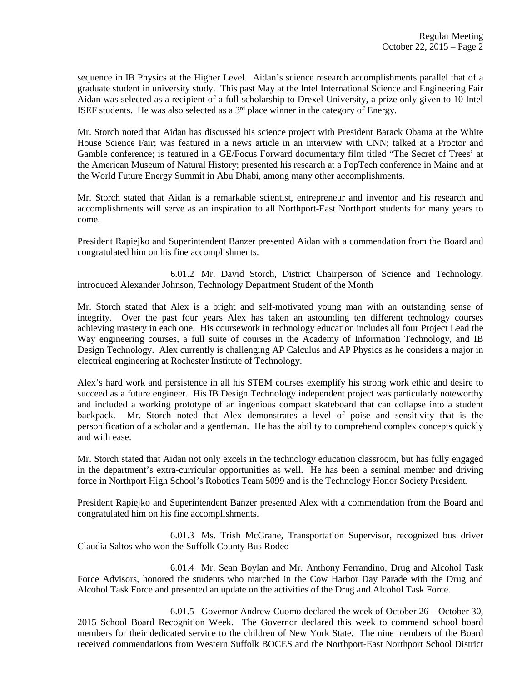sequence in IB Physics at the Higher Level. Aidan's science research accomplishments parallel that of a graduate student in university study. This past May at the Intel International Science and Engineering Fair Aidan was selected as a recipient of a full scholarship to Drexel University, a prize only given to 10 Intel ISEF students. He was also selected as a  $3<sup>rd</sup>$  place winner in the category of Energy.

Mr. Storch noted that Aidan has discussed his science project with President Barack Obama at the White House Science Fair; was featured in a news article in an interview with CNN; talked at a Proctor and Gamble conference; is featured in a GE/Focus Forward documentary film titled "The Secret of Trees' at the American Museum of Natural History; presented his research at a PopTech conference in Maine and at the World Future Energy Summit in Abu Dhabi, among many other accomplishments.

Mr. Storch stated that Aidan is a remarkable scientist, entrepreneur and inventor and his research and accomplishments will serve as an inspiration to all Northport-East Northport students for many years to come.

President Rapiejko and Superintendent Banzer presented Aidan with a commendation from the Board and congratulated him on his fine accomplishments.

 6.01.2 Mr. David Storch, District Chairperson of Science and Technology, introduced Alexander Johnson, Technology Department Student of the Month

Mr. Storch stated that Alex is a bright and self-motivated young man with an outstanding sense of integrity. Over the past four years Alex has taken an astounding ten different technology courses achieving mastery in each one. His coursework in technology education includes all four Project Lead the Way engineering courses, a full suite of courses in the Academy of Information Technology, and IB Design Technology. Alex currently is challenging AP Calculus and AP Physics as he considers a major in electrical engineering at Rochester Institute of Technology.

Alex's hard work and persistence in all his STEM courses exemplify his strong work ethic and desire to succeed as a future engineer. His IB Design Technology independent project was particularly noteworthy and included a working prototype of an ingenious compact skateboard that can collapse into a student backpack. Mr. Storch noted that Alex demonstrates a level of poise and sensitivity that is the personification of a scholar and a gentleman. He has the ability to comprehend complex concepts quickly and with ease.

Mr. Storch stated that Aidan not only excels in the technology education classroom, but has fully engaged in the department's extra-curricular opportunities as well. He has been a seminal member and driving force in Northport High School's Robotics Team 5099 and is the Technology Honor Society President.

President Rapiejko and Superintendent Banzer presented Alex with a commendation from the Board and congratulated him on his fine accomplishments.

 6.01.3 Ms. Trish McGrane, Transportation Supervisor, recognized bus driver Claudia Saltos who won the Suffolk County Bus Rodeo

 6.01.4 Mr. Sean Boylan and Mr. Anthony Ferrandino, Drug and Alcohol Task Force Advisors, honored the students who marched in the Cow Harbor Day Parade with the Drug and Alcohol Task Force and presented an update on the activities of the Drug and Alcohol Task Force.

 6.01.5 Governor Andrew Cuomo declared the week of October 26 – October 30, 2015 School Board Recognition Week. The Governor declared this week to commend school board members for their dedicated service to the children of New York State. The nine members of the Board received commendations from Western Suffolk BOCES and the Northport-East Northport School District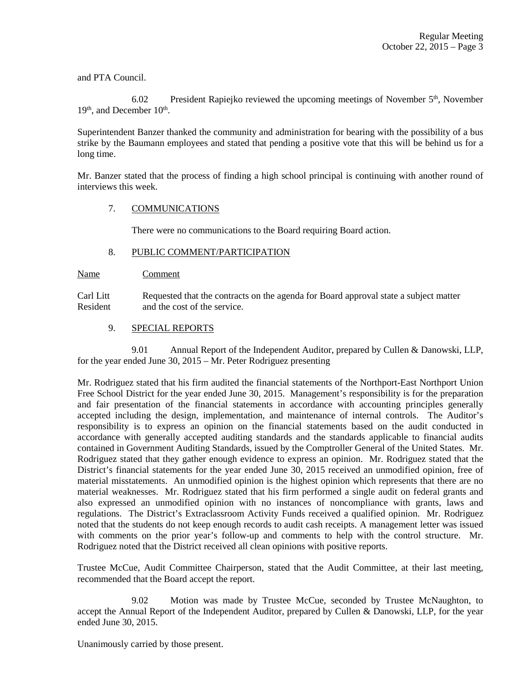and PTA Council.

6.02 President Rapiejko reviewed the upcoming meetings of November 5<sup>th</sup>, November  $19<sup>th</sup>$ , and December  $10<sup>th</sup>$ .

Superintendent Banzer thanked the community and administration for bearing with the possibility of a bus strike by the Baumann employees and stated that pending a positive vote that this will be behind us for a long time.

Mr. Banzer stated that the process of finding a high school principal is continuing with another round of interviews this week.

# 7. COMMUNICATIONS

There were no communications to the Board requiring Board action.

# 8. PUBLIC COMMENT/PARTICIPATION

Name Comment

Carl Litt Requested that the contracts on the agenda for Board approval state a subject matter Resident and the cost of the service.

# 9. SPECIAL REPORTS

 9.01 Annual Report of the Independent Auditor, prepared by Cullen & Danowski, LLP, for the year ended June 30, 2015 – Mr. Peter Rodriguez presenting

Mr. Rodriguez stated that his firm audited the financial statements of the Northport-East Northport Union Free School District for the year ended June 30, 2015. Management's responsibility is for the preparation and fair presentation of the financial statements in accordance with accounting principles generally accepted including the design, implementation, and maintenance of internal controls. The Auditor's responsibility is to express an opinion on the financial statements based on the audit conducted in accordance with generally accepted auditing standards and the standards applicable to financial audits contained in Government Auditing Standards, issued by the Comptroller General of the United States. Mr. Rodriguez stated that they gather enough evidence to express an opinion. Mr. Rodriguez stated that the District's financial statements for the year ended June 30, 2015 received an unmodified opinion, free of material misstatements. An unmodified opinion is the highest opinion which represents that there are no material weaknesses. Mr. Rodriguez stated that his firm performed a single audit on federal grants and also expressed an unmodified opinion with no instances of noncompliance with grants, laws and regulations. The District's Extraclassroom Activity Funds received a qualified opinion. Mr. Rodriguez noted that the students do not keep enough records to audit cash receipts. A management letter was issued with comments on the prior year's follow-up and comments to help with the control structure. Mr. Rodriguez noted that the District received all clean opinions with positive reports.

Trustee McCue, Audit Committee Chairperson, stated that the Audit Committee, at their last meeting, recommended that the Board accept the report.

 9.02 Motion was made by Trustee McCue, seconded by Trustee McNaughton, to accept the Annual Report of the Independent Auditor, prepared by Cullen & Danowski, LLP, for the year ended June 30, 2015.

Unanimously carried by those present.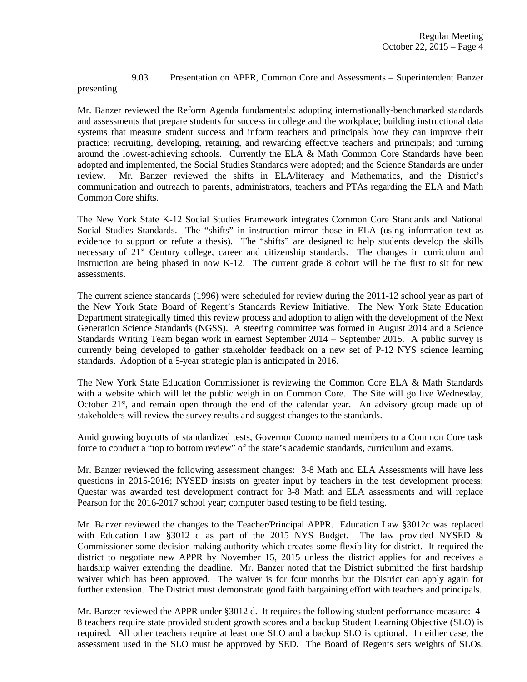# 9.03 Presentation on APPR, Common Core and Assessments – Superintendent Banzer

presenting

Mr. Banzer reviewed the Reform Agenda fundamentals: adopting internationally-benchmarked standards and assessments that prepare students for success in college and the workplace; building instructional data systems that measure student success and inform teachers and principals how they can improve their practice; recruiting, developing, retaining, and rewarding effective teachers and principals; and turning around the lowest-achieving schools. Currently the ELA  $&$  Math Common Core Standards have been adopted and implemented, the Social Studies Standards were adopted; and the Science Standards are under review. Mr. Banzer reviewed the shifts in ELA/literacy and Mathematics, and the District's communication and outreach to parents, administrators, teachers and PTAs regarding the ELA and Math Common Core shifts.

The New York State K-12 Social Studies Framework integrates Common Core Standards and National Social Studies Standards. The "shifts" in instruction mirror those in ELA (using information text as evidence to support or refute a thesis). The "shifts" are designed to help students develop the skills necessary of 21<sup>st</sup> Century college, career and citizenship standards. The changes in curriculum and instruction are being phased in now K-12. The current grade 8 cohort will be the first to sit for new assessments.

The current science standards (1996) were scheduled for review during the 2011-12 school year as part of the New York State Board of Regent's Standards Review Initiative. The New York State Education Department strategically timed this review process and adoption to align with the development of the Next Generation Science Standards (NGSS). A steering committee was formed in August 2014 and a Science Standards Writing Team began work in earnest September 2014 – September 2015. A public survey is currently being developed to gather stakeholder feedback on a new set of P-12 NYS science learning standards. Adoption of a 5-year strategic plan is anticipated in 2016.

The New York State Education Commissioner is reviewing the Common Core ELA & Math Standards with a website which will let the public weigh in on Common Core. The Site will go live Wednesday, October  $21<sup>st</sup>$ , and remain open through the end of the calendar year. An advisory group made up of stakeholders will review the survey results and suggest changes to the standards.

Amid growing boycotts of standardized tests, Governor Cuomo named members to a Common Core task force to conduct a "top to bottom review" of the state's academic standards, curriculum and exams.

Mr. Banzer reviewed the following assessment changes: 3-8 Math and ELA Assessments will have less questions in 2015-2016; NYSED insists on greater input by teachers in the test development process; Questar was awarded test development contract for 3-8 Math and ELA assessments and will replace Pearson for the 2016-2017 school year; computer based testing to be field testing.

Mr. Banzer reviewed the changes to the Teacher/Principal APPR. Education Law §3012c was replaced with Education Law §3012 d as part of the 2015 NYS Budget. The law provided NYSED & Commissioner some decision making authority which creates some flexibility for district. It required the district to negotiate new APPR by November 15, 2015 unless the district applies for and receives a hardship waiver extending the deadline. Mr. Banzer noted that the District submitted the first hardship waiver which has been approved. The waiver is for four months but the District can apply again for further extension. The District must demonstrate good faith bargaining effort with teachers and principals.

Mr. Banzer reviewed the APPR under §3012 d. It requires the following student performance measure: 4- 8 teachers require state provided student growth scores and a backup Student Learning Objective (SLO) is required. All other teachers require at least one SLO and a backup SLO is optional. In either case, the assessment used in the SLO must be approved by SED. The Board of Regents sets weights of SLOs,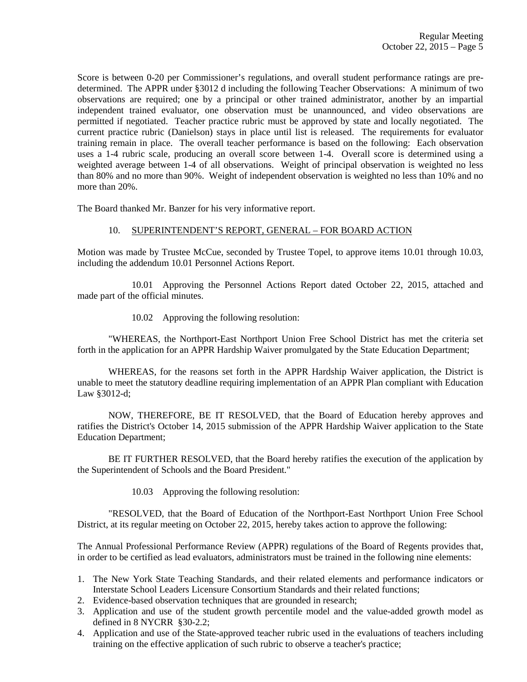Score is between 0-20 per Commissioner's regulations, and overall student performance ratings are predetermined. The APPR under §3012 d including the following Teacher Observations: A minimum of two observations are required; one by a principal or other trained administrator, another by an impartial independent trained evaluator, one observation must be unannounced, and video observations are permitted if negotiated. Teacher practice rubric must be approved by state and locally negotiated. The current practice rubric (Danielson) stays in place until list is released. The requirements for evaluator training remain in place. The overall teacher performance is based on the following: Each observation uses a 1-4 rubric scale, producing an overall score between 1-4. Overall score is determined using a weighted average between 1-4 of all observations. Weight of principal observation is weighted no less than 80% and no more than 90%. Weight of independent observation is weighted no less than 10% and no more than 20%.

The Board thanked Mr. Banzer for his very informative report.

# 10. SUPERINTENDENT'S REPORT, GENERAL – FOR BOARD ACTION

Motion was made by Trustee McCue, seconded by Trustee Topel, to approve items 10.01 through 10.03, including the addendum 10.01 Personnel Actions Report.

 10.01 Approving the Personnel Actions Report dated October 22, 2015, attached and made part of the official minutes.

10.02 Approving the following resolution:

 "WHEREAS, the Northport-East Northport Union Free School District has met the criteria set forth in the application for an APPR Hardship Waiver promulgated by the State Education Department;

 WHEREAS, for the reasons set forth in the APPR Hardship Waiver application, the District is unable to meet the statutory deadline requiring implementation of an APPR Plan compliant with Education Law §3012-d;

 NOW, THEREFORE, BE IT RESOLVED, that the Board of Education hereby approves and ratifies the District's October 14, 2015 submission of the APPR Hardship Waiver application to the State Education Department;

 BE IT FURTHER RESOLVED, that the Board hereby ratifies the execution of the application by the Superintendent of Schools and the Board President."

10.03 Approving the following resolution:

 "RESOLVED, that the Board of Education of the Northport-East Northport Union Free School District, at its regular meeting on October 22, 2015, hereby takes action to approve the following:

The Annual Professional Performance Review (APPR) regulations of the Board of Regents provides that, in order to be certified as lead evaluators, administrators must be trained in the following nine elements:

- 1. The New York State Teaching Standards, and their related elements and performance indicators or Interstate School Leaders Licensure Consortium Standards and their related functions;
- 2. Evidence-based observation techniques that are grounded in research;
- 3. Application and use of the student growth percentile model and the value-added growth model as defined in 8 NYCRR §30-2.2;
- 4. Application and use of the State-approved teacher rubric used in the evaluations of teachers including training on the effective application of such rubric to observe a teacher's practice;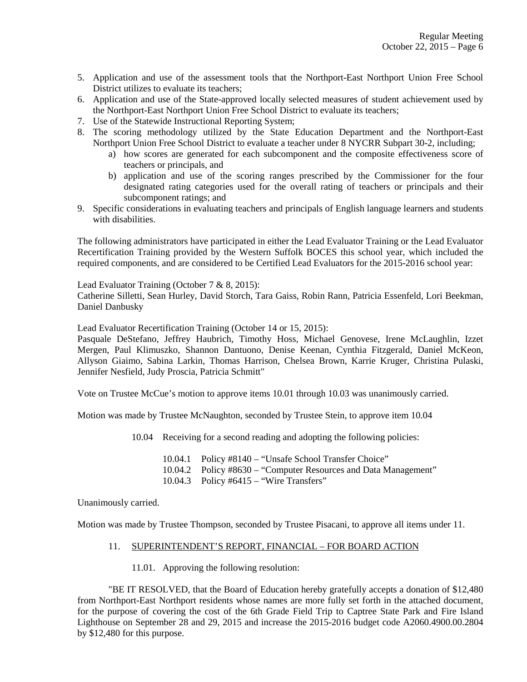- 5. Application and use of the assessment tools that the Northport-East Northport Union Free School District utilizes to evaluate its teachers;
- 6. Application and use of the State-approved locally selected measures of student achievement used by the Northport-East Northport Union Free School District to evaluate its teachers;
- 7. Use of the Statewide Instructional Reporting System;
- 8. The scoring methodology utilized by the State Education Department and the Northport-East Northport Union Free School District to evaluate a teacher under 8 NYCRR Subpart 30-2, including;
	- a) how scores are generated for each subcomponent and the composite effectiveness score of teachers or principals, and
	- b) application and use of the scoring ranges prescribed by the Commissioner for the four designated rating categories used for the overall rating of teachers or principals and their subcomponent ratings; and
- 9. Specific considerations in evaluating teachers and principals of English language learners and students with disabilities.

The following administrators have participated in either the Lead Evaluator Training or the Lead Evaluator Recertification Training provided by the Western Suffolk BOCES this school year, which included the required components, and are considered to be Certified Lead Evaluators for the 2015-2016 school year:

Lead Evaluator Training (October 7 & 8, 2015):

Catherine Silletti, Sean Hurley, David Storch, Tara Gaiss, Robin Rann, Patricia Essenfeld, Lori Beekman, Daniel Danbusky

Lead Evaluator Recertification Training (October 14 or 15, 2015):

Pasquale DeStefano, Jeffrey Haubrich, Timothy Hoss, Michael Genovese, Irene McLaughlin, Izzet Mergen, Paul Klimuszko, Shannon Dantuono, Denise Keenan, Cynthia Fitzgerald, Daniel McKeon, Allyson Giaimo, Sabina Larkin, Thomas Harrison, Chelsea Brown, Karrie Kruger, Christina Pulaski, Jennifer Nesfield, Judy Proscia, Patricia Schmitt"

Vote on Trustee McCue's motion to approve items 10.01 through 10.03 was unanimously carried.

Motion was made by Trustee McNaughton, seconded by Trustee Stein, to approve item 10.04

- 10.04 Receiving for a second reading and adopting the following policies:
	- 10.04.1 Policy #8140 "Unsafe School Transfer Choice" 10.04.2 Policy #8630 – "Computer Resources and Data Management"
	- 10.04.3 Policy #6415 "Wire Transfers"

Unanimously carried.

Motion was made by Trustee Thompson, seconded by Trustee Pisacani, to approve all items under 11.

#### 11. SUPERINTENDENT'S REPORT, FINANCIAL – FOR BOARD ACTION

11.01. Approving the following resolution:

 "BE IT RESOLVED, that the Board of Education hereby gratefully accepts a donation of \$12,480 from Northport-East Northport residents whose names are more fully set forth in the attached document, for the purpose of covering the cost of the 6th Grade Field Trip to Captree State Park and Fire Island Lighthouse on September 28 and 29, 2015 and increase the 2015-2016 budget code A2060.4900.00.2804 by \$12,480 for this purpose.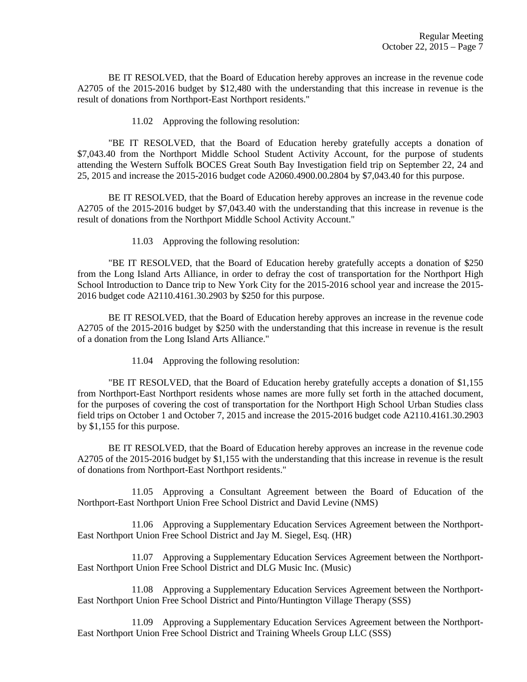BE IT RESOLVED, that the Board of Education hereby approves an increase in the revenue code A2705 of the 2015-2016 budget by \$12,480 with the understanding that this increase in revenue is the result of donations from Northport-East Northport residents."

11.02 Approving the following resolution:

"BE IT RESOLVED, that the Board of Education hereby gratefully accepts a donation of \$7,043.40 from the Northport Middle School Student Activity Account, for the purpose of students attending the Western Suffolk BOCES Great South Bay Investigation field trip on September 22, 24 and 25, 2015 and increase the 2015-2016 budget code A2060.4900.00.2804 by \$7,043.40 for this purpose.

 BE IT RESOLVED, that the Board of Education hereby approves an increase in the revenue code A2705 of the 2015-2016 budget by \$7,043.40 with the understanding that this increase in revenue is the result of donations from the Northport Middle School Activity Account."

11.03 Approving the following resolution:

 "BE IT RESOLVED, that the Board of Education hereby gratefully accepts a donation of \$250 from the Long Island Arts Alliance, in order to defray the cost of transportation for the Northport High School Introduction to Dance trip to New York City for the 2015-2016 school year and increase the 2015- 2016 budget code A2110.4161.30.2903 by \$250 for this purpose.

 BE IT RESOLVED, that the Board of Education hereby approves an increase in the revenue code A2705 of the 2015-2016 budget by \$250 with the understanding that this increase in revenue is the result of a donation from the Long Island Arts Alliance."

11.04 Approving the following resolution:

 "BE IT RESOLVED, that the Board of Education hereby gratefully accepts a donation of \$1,155 from Northport-East Northport residents whose names are more fully set forth in the attached document, for the purposes of covering the cost of transportation for the Northport High School Urban Studies class field trips on October 1 and October 7, 2015 and increase the 2015-2016 budget code A2110.4161.30.2903 by \$1,155 for this purpose.

 BE IT RESOLVED, that the Board of Education hereby approves an increase in the revenue code A2705 of the 2015-2016 budget by \$1,155 with the understanding that this increase in revenue is the result of donations from Northport-East Northport residents."

 11.05 Approving a Consultant Agreement between the Board of Education of the Northport-East Northport Union Free School District and David Levine (NMS)

 11.06 Approving a Supplementary Education Services Agreement between the Northport-East Northport Union Free School District and Jay M. Siegel, Esq. (HR)

 11.07 Approving a Supplementary Education Services Agreement between the Northport-East Northport Union Free School District and DLG Music Inc. (Music)

 11.08 Approving a Supplementary Education Services Agreement between the Northport-East Northport Union Free School District and Pinto/Huntington Village Therapy (SSS)

 11.09 Approving a Supplementary Education Services Agreement between the Northport-East Northport Union Free School District and Training Wheels Group LLC (SSS)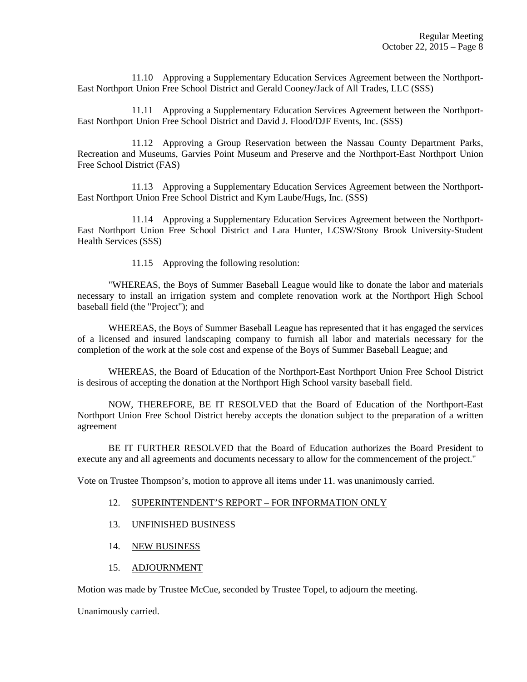11.10 Approving a Supplementary Education Services Agreement between the Northport-East Northport Union Free School District and Gerald Cooney/Jack of All Trades, LLC (SSS)

 11.11 Approving a Supplementary Education Services Agreement between the Northport-East Northport Union Free School District and David J. Flood/DJF Events, Inc. (SSS)

 11.12 Approving a Group Reservation between the Nassau County Department Parks, Recreation and Museums, Garvies Point Museum and Preserve and the Northport-East Northport Union Free School District (FAS)

 11.13 Approving a Supplementary Education Services Agreement between the Northport-East Northport Union Free School District and Kym Laube/Hugs, Inc. (SSS)

 11.14 Approving a Supplementary Education Services Agreement between the Northport-East Northport Union Free School District and Lara Hunter, LCSW/Stony Brook University-Student Health Services (SSS)

11.15 Approving the following resolution:

 "WHEREAS, the Boys of Summer Baseball League would like to donate the labor and materials necessary to install an irrigation system and complete renovation work at the Northport High School baseball field (the "Project"); and

 WHEREAS, the Boys of Summer Baseball League has represented that it has engaged the services of a licensed and insured landscaping company to furnish all labor and materials necessary for the completion of the work at the sole cost and expense of the Boys of Summer Baseball League; and

 WHEREAS, the Board of Education of the Northport-East Northport Union Free School District is desirous of accepting the donation at the Northport High School varsity baseball field.

 NOW, THEREFORE, BE IT RESOLVED that the Board of Education of the Northport-East Northport Union Free School District hereby accepts the donation subject to the preparation of a written agreement

 BE IT FURTHER RESOLVED that the Board of Education authorizes the Board President to execute any and all agreements and documents necessary to allow for the commencement of the project."

Vote on Trustee Thompson's, motion to approve all items under 11. was unanimously carried.

#### 12. SUPERINTENDENT'S REPORT – FOR INFORMATION ONLY

- 13. UNFINISHED BUSINESS
- 14. NEW BUSINESS
- 15. ADJOURNMENT

Motion was made by Trustee McCue, seconded by Trustee Topel, to adjourn the meeting.

Unanimously carried.